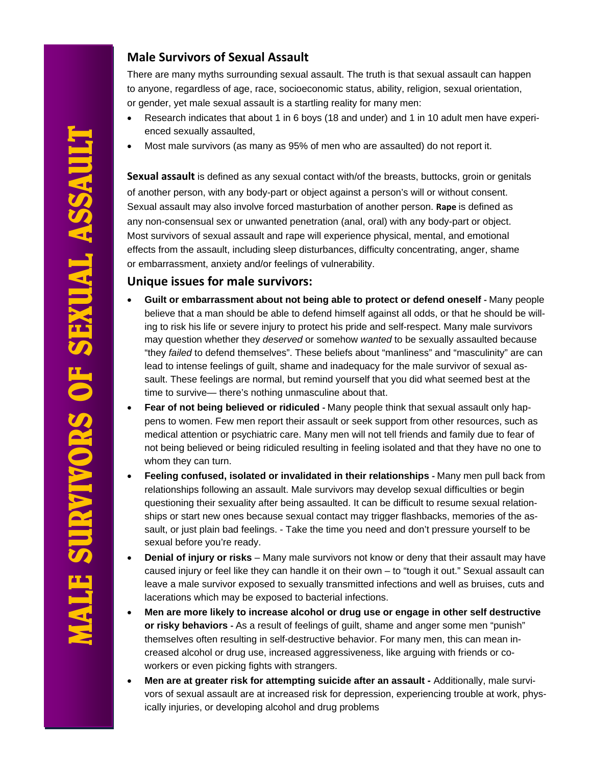# **MALE SURVIVORS OF SEXUAL ASSAULT IALE SURVIVORS OF SEXUAL ASSAULT**

# **Male Survivors of Sexual Assault**

There are many myths surrounding sexual assault. The truth is that sexual assault can happen to anyone, regardless of age, race, socioeconomic status, ability, religion, sexual orientation, or gender, yet male sexual assault is a startling reality for many men:

- Research indicates that about 1 in 6 boys (18 and under) and 1 in 10 adult men have experienced sexually assaulted,
- Most male survivors (as many as 95% of men who are assaulted) do not report it.

**Sexual assault** is defined as any sexual contact with/of the breasts, buttocks, groin or genitals of another person, with any body-part or object against a person's will or without consent. Sexual assault may also involve forced masturbation of another person. **Rape** is defined as any non-consensual sex or unwanted penetration (anal, oral) with any body-part or object. Most survivors of sexual assault and rape will experience physical, mental, and emotional effects from the assault, including sleep disturbances, difficulty concentrating, anger, shame or embarrassment, anxiety and/or feelings of vulnerability.

# **Unique issues for male survivors:**

- **Guilt or embarrassment about not being able to protect or defend oneself ‐** Many people believe that a man should be able to defend himself against all odds, or that he should be willing to risk his life or severe injury to protect his pride and self-respect. Many male survivors may question whether they *deserved* or somehow *wanted* to be sexually assaulted because "they *failed* to defend themselves". These beliefs about "manliness" and "masculinity" are can lead to intense feelings of guilt, shame and inadequacy for the male survivor of sexual assault. These feelings are normal, but remind yourself that you did what seemed best at the time to survive— there's nothing unmasculine about that.
- **Fear of not being believed or ridiculed** Many people think that sexual assault only happens to women. Few men report their assault or seek support from other resources, such as medical attention or psychiatric care. Many men will not tell friends and family due to fear of not being believed or being ridiculed resulting in feeling isolated and that they have no one to whom they can turn.
- **Feeling confused, isolated or invalidated in their relationships Many men pull back from** relationships following an assault. Male survivors may develop sexual difficulties or begin questioning their sexuality after being assaulted. It can be difficult to resume sexual relationships or start new ones because sexual contact may trigger flashbacks, memories of the assault, or just plain bad feelings. - Take the time you need and don't pressure yourself to be sexual before you're ready.
- **Denial of injury or risks** Many male survivors not know or deny that their assault may have caused injury or feel like they can handle it on their own – to "tough it out." Sexual assault can leave a male survivor exposed to sexually transmitted infections and well as bruises, cuts and lacerations which may be exposed to bacterial infections.
- **Men are more likely to increase alcohol or drug use or engage in other self destructive or risky behaviors ‐** As a result of feelings of guilt, shame and anger some men "punish" themselves often resulting in self-destructive behavior. For many men, this can mean increased alcohol or drug use, increased aggressiveness, like arguing with friends or coworkers or even picking fights with strangers.
- **Men are at greater risk for attempting suicide after an assault** Additionally, male survivors of sexual assault are at increased risk for depression, experiencing trouble at work, physically injuries, or developing alcohol and drug problems